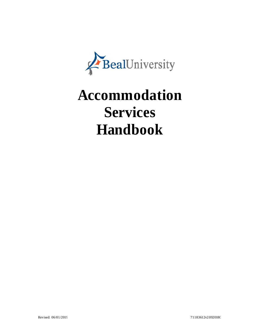

# **Accommodation Services Handbook**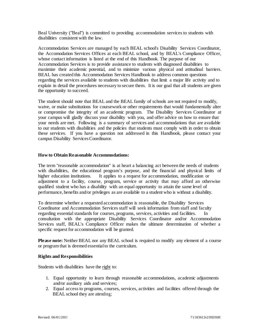Beal University ("Beal") is committed to providing accommodation services to students with disabilities consistent with the law.

Accommodation Services are managed by each BEAL school's Disability Services Coordinator, the Accomodation Services Offices at each BEAL school, and by BEAL's Compliance Officer, whose contact information is listed at the end of this Handbook. The purpose of our Accommodation Services is to provide assistance to students with diagnosed disabilities to maximize their academic potential, and to minimize various physical and attitudinal barriers. BEAL has created this Accommodation Services Handbook to address common questions regarding the services available to students with disabilities that limit a major life activity and to explain in detail the procedures necessary to secure them. It is our goal that all students are given the opportunity to succeed.

The student should note that BEAL and the BEAL family of schools are not required to modify, waive, or make substitutions for coursework or other requirements that would fundamentally alter or compromise the integrity of an academic program. The Disability Services Coordinator at your campus will gladly discuss your disability with you, and offer advice on how to ensure that your needs are met. Following is a summary of services and accommodations that are available to our students with disabilities and the policies that students must comply with in order to obtain these services. If you have a question not addressed in this Handbook, please contact your campus Disability ServicesCoordinator.

#### **How to Obtain Reasonable Accommodations:**

The term "reasonable accommodation" is at heart a balancing act between the needs of students with disabilities, the educational program's purpose, and the financial and physical limits of higher education institutions. It applies to a request for accommodation, modification or adjustment to a facility, course, program, service or activity that may afford an otherwise qualified student who has a disability with an equal opportunity to attain the same level of performance, benefits and/or privileges as are available to a student who is without a disability.

To determine whether a requested accommodation is reasonable, the Disability Services Coordinator and Accommodation Services staff will seek information from staff and faculty regarding essential standards for courses, programs, services, activities and facilities. In consultation with the appropriate Disability Services Coordinator and/or Accommodation Services staff, BEAL's Compliance Officer makes the ultimate determination of whether a specific request for accommodation will be granted.

**Please note:** Neither BEAL nor any BEAL school is required to modify any element of a course or program that is deemed essentialto the curriculum.

#### **Rights and Responsibilities**

Students with disabilities have the right to:

- 1. Equal opportunity to learn through reasonable accommodations, academic adjustments and/or auxiliary aids and services;
- 2. Equal access to programs, courses, services, activities and facilities offered through the BEAL school they are attending;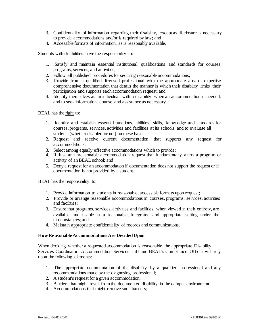- 3. Confidentiality of information regarding their disability, except as disclosure is necessary to provide accommodations and/or is required by law; and
- 4. Accessible formats of information, as is reasonably available.

Students with disabilities have the responsibility to:

- 1. Satisfy and maintain essential institutional qualifications and standards for courses, programs, services, and activities;
- 2. Follow all published procedures for securing reasonable accommodations;
- 3. Provide from a qualified licensed professional with the appropriate area of expertise comprehensive documentation that details the manner in which their disability limits their participation and supports each accommodation request; and
- 4. Identify themselves as an individual with a disability when an accommodation is needed, and to seek information, counsel and assistance as necessary.

BEAL has the right to:

- 1. Identify and establish essential functions, abilities, skills, knowledge and standards for courses, programs, services, activities and facilities at its schools, and to evaluate all students (whether disabled or not) on these bases;
- 2. Request and receive current documentation that supports any request for accommodations;
- 3. Select among equally effective accommodations which to provide;
- 4. Refuse an unreasonable accommodation request that fundamentally alters a program or activity of an BEAL school; and
- 5. Deny a request for an accommodation if documentation does not support the request or if documentation is not provided by a student.

BEAL has the responsibility to:

- 1. Provide information to students in reasonable, accessible formats upon request;
- 2. Provide or arrange reasonable accommodations in courses, programs, services, activities and facilities;
- 3. Ensure that programs, services, activities and facilities, when viewed in their entirety, are available and usable in a reasonable, integrated and appropriate setting under the circumstances; and
- 4. Maintain appropriate confidentiality of records and communications.

#### **How Reasonable Accommodations Are Decided Upon**

When deciding whether a requested accommodation is reasonable, the appropriate Disability Services Coordinator, Accommodation Services staff and BEAL's Compliance Officer will rely upon the following elements:

- 1. The appropriate documentation of the disability by a qualified professional and any recommendations made by the diagnosing professional;
- 2. A student's request for a given accommodation;
- 3. Barriers that might result from the documented disability in the campus environment;
- 4. Accommodations that might remove such barriers;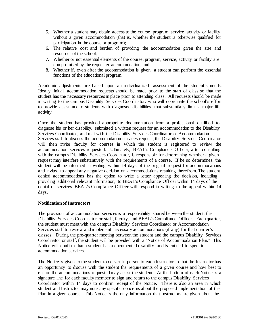- 5. Whether a student may obtain access to the course, program, service, activity or facility without a given accommodation (that is, whether the student is otherwise qualified for participation in the course or program);
- 6. The relative cost and burden of providing the accommodation given the size and resources of the school;
- 7. Whether or not essential elements of the course, program, service, activity or facility are compromised by the requested accommodation; and
- 8. Whether if, even after the accommodation is given, a student can perform the essential functions of the educational program.

Academic adjustments are based upon an individualized assessment of the student's needs. Ideally, initial accommodation requests should be made prior to the start of class so that the student has the necessary resources in place prior to attending class. All requests should be made in writing to the campus Disability Services Coordinator, who will coordinate the school's effort to provide assistance to students with diagnosed disabilities that substantially limit a major life activity.

Once the student has provided appropriate documentation from a professional qualified to diagnose his or her disability, submitted a written request for an accommodation to the Disability Services Coordinator, and met with the Disability Services Coordinator or Accommodation Services staff to discuss the accommodation services request, the Disability Services Coordinator will then invite faculty for courses in which the student is registered to review the accommodation services requested. Ultimately, BEAL's Compliance Officer, after consulting with the campus Disability Services Coordinator, is responsible for determining whether a given request may interfere substantively with the requirements of a course. If he so determines, the student will be informed in writing within 14 days of the original request for accommodations and invited to appeal any negative decision on accommodations resulting therefrom. The student denied accommodations has the option to write a letter appealing the decision, including providing additional relevant information, to BEAL's Compliance Officer within 14 days of the denial of services. BEAL's Compliance Officer will respond in writing to the appeal within 14 days.

# **Notificationof Instructors**

The provision of accommodation services is a responsibility shared between the student, the Disability Services Coordinator or staff, faculty, and BEAL's Compliance Officer. Each quarter, the student must meet with the campus Disability Services Coordinator or Accommodation Services staff to review and implement necessary accommodations (if any) for that quarter's classes. During the pre-quarter meeting between the student and the campus Disability Services Coordinator or staff, the student will be provided with a "Notice of Accommodation Plan." This Notice will confirm that a student has a documented disability and is entitled to specific accommodation services.

The Notice is given to the student to deliver in person to each Instructor so that the Instructor has an opportunity to discuss with the student the requirements of a given course and how best to ensure the accommodations requested may assist the student. At the bottom of each Notice is a signature line for each faculty member to sign and return to the campus Disability Services Coordinator within 14 days to confirm receipt of the Notice. There is also an area in which student and Instructor may note any specific concerns about the proposed implementation of the Plan in a given course. This Notice is the only information that Instructors are given about the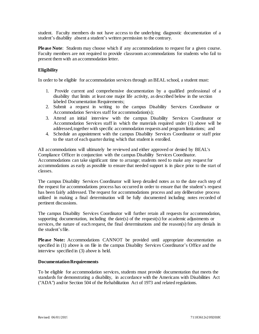student. Faculty members do not have access to the underlying diagnostic documentation of a student's disability absent a student's written permission to the contrary.

**Please Note**: Students may choose which if any accommodations to request for a given course. Faculty members are not required to provide classroom accommodations for students who fail to present themwith an accommodation letter.

# **Eligibility**

In order to be eligible for accommodation services through an BEAL school, a student must:

- 1. Provide current and comprehensive documentation by a qualified professional of a disability that limits at least one major life activity, as described below in the section labeled Documentation Requirements;
- 2. Submit a request in writing to the campus Disability Services Coordinator or Accommodation Services staff for accommodation(s);
- 3. Attend an initial interview with the campus Disability Services Coordinator or Accommodation Services staff in which the materials required under (1) above will be addressed,together with specific accommodation requests and program limitations; and
- 4. Schedule an appointment with the campus Disability Services Coordinator or staff prior to the start of each quarter during which that student is enrolled.

All accommodations will ultimately be reviewed and either approved or denied by BEAL's Compliance Officer in conjunction with the campus Disability Services Coordinator. Accommodations can take significant time to arrange; students need to make any request for accommodations as early as possible to ensure that needed support is in place prior to the start of classes.

The campus Disability Services Coordinator will keep detailed notes as to the date each step of the request for accommodations process has occurred in order to ensure that the student's request has been fairly addressed. The request for accommodations process and any deliberative process utilized in making a final determination will be fully documented including notes recorded of pertinent discussions.

The campus Disability Services Coordinator will further retain all requests for accommodation, supporting documentation, including the date(s) of the request(s) for academic adjustments or services, the nature of each request, the final determinations and the reason(s) for any denials in the student's file.

**Please Note:** Accommodations CANNOT be provided until appropriate documentation as specified in (1) above is on file in the campus Disability Services Coordinator's Office and the interview specified in (3) above is held.

# **DocumentationRequirements**

To be eligible for accommodation services, students must provide documentation that meets the standards for demonstrating a disability, in accordance with the Americans with Disabilities Act ("ADA") and/or Section 504 of the Rehabilitation Act of 1973 and related regulations.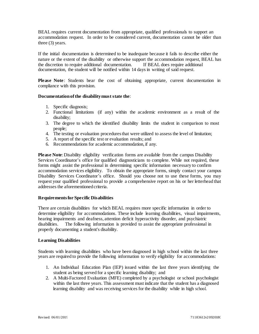BEAL requires current documentation from appropriate, qualified professionals to support an accommodation request. In order to be considered current, documentation cannot be older than three (3) years.

If the initial documentation is determined to be inadequate because it fails to describe either the nature or the extent of the disability or otherwise support the accommodation request, BEAL has the discretion to require additional documentation. If BEAL does require additional documentation, the student will be notified within 14 days in writing of said request.

**Please Note**: Students bear the cost of obtaining appropriate, current documentation in compliance with this provision.

# **Documentationofthe disabilitymust state the**:

- 1. Specific diagnosis;
- 2. Functional limitations (if any) within the academic environment as a result of the disability;
- 3. The degree to which the identified disability limits the student in comparison to most people;
- 4. The testing or evaluation proceduresthat were utilized to assess the level of limitation;
- 5. A report of the specific test or evaluation results; and
- 6. Recommendations for academic accommodation, if any.

**Please Note**: Disability eligibility verification forms are available from the campus Disability Services Coordinator's office for qualified diagnosticians to complete. While not required, these forms might assist the professional in determining specific information necessary to confirm accommodation services eligibility. To obtain the appropriate forms, simply contact your campus Disability Services Coordinator's office. Should you choose not to use these forms, you may request your qualified professional to provide a comprehensive report on his or her letterhead that addresses the aforementioned criteria.

#### **Requirementsfor Specific Disabilities**

There are certain disabilities for which BEAL requires more specific information in order to determine eligibility for accommodations. These include learning disabilities, visual impairments, hearing impairments and deafness, attention deficit hyperactivity disorder, and psychiatric disabilities. The following information is provided to assist the appropriate professional in properly documenting a student's disability.

#### **Learning Disabilities**

Students with learning disabilities who have been diagnosed in high school within the last three years are required to provide the following information to verify eligibility for accommodations:

- 1. An Individual Education Plan (IEP) issued within the last three years identifying the student as being served for a specific learning disability; and
- 2. A Multi-Factored Evaluation (MFE) completed by a psychologist or school psychologist within the last three years. This assessment must indicate that the student has a diagnosed learning disability and was receiving services for the disability while in high school.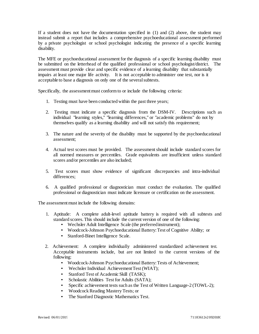If a student does not have the documentation specified in (1) and (2) above, the student may instead submit a report that includes a comprehensive psychoeducational assessment performed by a private psychologist or school psychologist indicating the presence of a specific learning disability.

The MFE or psychoeducational assessment for the diagnosis of a specific learning disability must be submitted on the letterhead of the qualified professional or school psychologist/district. The assessment must provide clear and specific evidence of a learning disability that substantially impairs at least one major life activity. It is not acceptable to administer one test, nor is it acceptable to base a diagnosis on only one of the severalsubtests.

Specifically, the assessment must conform to or include the following criteria:

- 1. Testing must have been conducted within the past three years;
- 2. Testing must indicate a specific diagnosis from the DSM-IV. Descriptions such as individual "learning styles," "learning differences," or "academic problems" do not by themselves qualify as a learning disability and will not satisfy this requirement;
- 3. The nature and the severity of the disability must be supported by the psychoeducational assessment;
- 4. Actual test scores must be provided. The assessmentshould include standard scores for all normed measures or percentiles. Grade equivalents are insufficient unless standard scores and/or percentiles are also included;
- 5. Test scores must show evidence of significant discrepancies and intra-individual differences;
- 6. A qualified professional or diagnostician must conduct the evaluation. The qualified professional or diagnostician must indicate licensure or certification on the assessment.

The assessment must include the following domains:

- 1. Aptitude: A complete adult-level aptitude battery is required with all subtests and standard scores.This should include the current version of one of the following:
	- Wechsler Adult Intelligence Scale (the preferredinstrument);
	- Woodcock-Johnson Psychoeducational Battery:Test of Cognitive Ability; or
	- Stanford-Binet Intelligence Scale.
- 2. Achievement: A complete individually administered standardized achievement test. Acceptable instruments include, but are not limited to the current versions of the following:
	- Woodcock-Johnson Psychoeducational Battery:Tests of Achievement;
	- Wechsler Individual Achievement Test (WIAT);
	- Stanford Test of Academic Skill (TASK);
	- Scholastic Abilities Test for Adults (SATA);
	- Specific achievement tests such as the Test of Written Language-2 (TOWL-2);
	- Woodcock Reading Mastery Tests; or
	- The Stanford Diagnostic Mathematics Test.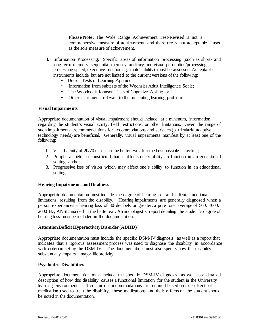**Please Note:** The Wide Range Achievement Test-Revised is not a comprehensive measure of achievement, and therefore is not acceptable if used as the sole measure of achievement.

- 3. Information Processing: Specific areas of information processing (such as short- and long-term memory; sequential memory; auditory and visual perception/processing; processing speed; executive functioning, motor ability) must be assessed. Acceptable instruments include but are not limited to the current versions of the following:
	- Detroit Tests of Learning Aptitude;
	- Information from subtests of the Wechsler Adult Intelligence Scale;
	- The Woodcock-Johnson Tests of Cognitive Ability; or
	- Other instruments relevant to the presenting learning problem.

#### **VisualImpairments**

Appropriate documentation of visual impairment should include, at a minimum, information regarding the student's visual acuity, field restrictions, or other limitations. Given the range of such impairments, recommendations for accommodations and services (particularly adaptive technology needs) are beneficial. Generally, visual impairments manifest by at least one of the following:

- 1. Visual acuity of 20/70 or less in the better eye after the best possible correction;
- 2. Peripheral field so constricted that it affects one's ability to function in an educational setting; and/or
- 3. Progressive loss of vision which may affect one's ability to function in an educational setting.

#### **Hearing Impairments and Deafness**

Appropriate documentation must include the degree of hearing loss and indicate functional limitations resulting from the disability. Hearing impairments are generally diagnosed when a person experiences a hearing loss of 30 decibels or greater, a pure tone average of 500, 1000, 2000 Hz, ANSI, unaided in the better ear. An audiologist's report detailing the student's degree of hearing loss must be included in the documentation.

#### **AttentionDeficit HyperactivityDisorder(ADHD)**

Appropriate documentation must include the specific DSM-IV diagnosis, as well as a report that indicates that a rigorous assessment process was used to diagnose the disability in accordance with criterion set by the DSM-IV. The documentation must also specify how the disability substantially impairs a major life activity.

#### **Psychiatric Disabilities**

Appropriate documentation must include the specific DSM-IV diagnosis, as well as a detailed description of how this disability causes a functional limitation for the student in the University learning environment. If concurrent accommodations are required based on side-effects of medication used to treat the disability, these medications and their effects on the student should be noted in the documentation.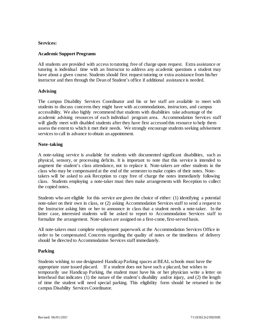#### **Services:**

## **Academic Support Programs**

All students are provided with access to tutoring free of charge upon request. Extra assistance or tutoring is individual time with an Instructor to address any academic questions a student may have about a given course. Students should first request tutoring or extra assistance from his/her instructor and then through the Dean of Student's office if additional assistance is needed.

#### **Advising**

The campus Disability Services Coordinator and his or her staff are available to meet with students to discuss concerns they might have with accommodations, instructors, and campus accessibility. We also highly recommend that students with disabilities take advantage of the academic advising resources of each individual program area. Accommodation Services staff will gladly meet with disabled students after they have first accessed this resource to help them assess the extent to which it met their needs. We strongly encourage students seeking advisement services to call in advance to obtain an appointment.

#### **Note-taking**

A note-taking service is available for students with documented significant disabilities, such as physical, sensory, or processing deficits. It is important to note that this service is intended to augment the student's class attendance, not to replace it. Note-takers are other students in the class who may be compensated at the end of the semester to make copies of their notes. Notetakers will be asked to ask Reception to copy free of charge the notes immediately following class. Students employing a note-taker must then make arrangements with Reception to collect the copied notes.

Students who are eligible for this service are given the choice of either: (1) identifying a potential note-taker on their own in class, or (2) asking Accommodation Services staff to send a request to the Instructor asking him or her to announce in class that a student needs a note-taker. In the latter case, interested students will be asked to report to Accommodation Services staff to formalize the arrangement. Note-takers are assigned on a first-come, first-served basis.

All note-takers must complete employment paperwork at the Accommodation Services Office in order to be compensated. Concerns regarding the quality of notes or the timeliness of delivery should be directed to Accommodation Services staff immediately.

# **Parking**

Students wishing to use designated Handicap Parking spaces at BEAL schools must have the appropriate state issued placard. If a student does not have such a placard, but wishes to temporarily use Handicap Parking, the student must have his or her physician write a letter on letterhead that indicates (1) the nature of the student's disability and/or injury, and (2) the length of time the student will need special parking. This eligibility form should be returned to the campus Disability ServicesCoordinator.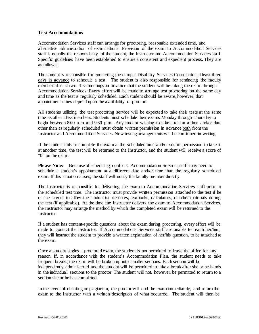# **Test Accommodations**

Accommodation Services staff can arrange for proctoring, reasonable extended time, and alternative administration of examinations. Provision of the exam to Accommodation Services staff is equally the responsibility of the student, the Instructor and Accommodation Services staff. Specific guidelines have been established to ensure a consistent and expedient process. They are as follows:

The student is responsible for contacting the campus Disability Services Coordinator at least three days in advance to schedule a test. The student is also responsible for reminding the faculty member at least two class meetings in advance that the student will be taking the exam through Accommodation Services. Every effort will be made to arrange test proctoring on the same day and time as the test is regularly scheduled. Each student should be aware, however, that appointment times depend upon the availability of proctors.

All students utilizing the test proctoring service will be expected to take their tests at the same time as other class members. Students must schedule their exams Monday through Thursday to begin between 8:00 a.m. and 9:30 p.m. Any student wishing to take a test at a time and/or date other than as regularly scheduled must obtain written permission in advance both from the Instructor and Accommodation Services. New testing arrangementswill be confirmed in writing.

If the student fails to complete the exam at the scheduled time and/or secure permission to take it at another time, the test will be returned to the Instructor, and the student will receive a score of "0" on the exam.

**Please Note:** Because of scheduling conflicts, Accommodation Services staff may need to schedule a student's appointment at a different date and/or time than the regularly scheduled exam. If this situation arises, the staff will notify the faculty member directly.

The Instructor is responsible for delivering the exam to Accommodation Services staff prior to the scheduled test time. The Instructor must provide written permission attached to the test if he or she intends to allow the student to use notes, textbooks, calculators, or other materials during the test (if applicable). At the time the Instructor delivers the exam to Accommodation Services, the Instructor may arrange the method by which the completed exam will be returned to the Instructor.

If a student has content-specific questions about the exam during proctoring, every effort will be made to contact the Instructor. If Accommodations Services staff are unable to reach her/him, they will instruct the student to provide a written explanation of her/his question, to be attached to the exam.

Once a student begins a proctored exam, the student is not permitted to leave the office for any reason. If, in accordance with the student's Accommodation Plan, the student needs to take frequent breaks, the exam will be broken up into smaller sections. Each section will be independently administered and the student will be permitted to take a break after she or he hands in the individual sections to the proctor. The student will not, however, be permitted to return to a section she or he has completed.

In the event of cheating or plagiarism, the proctor will end the examimmediately, and return the exam to the Instructor with a written description of what occurred. The student will then be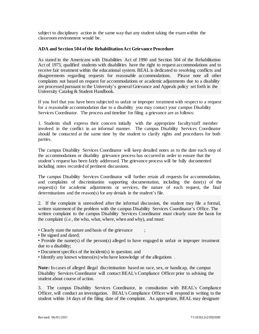subject to disciplinary action in the same way that any student taking the exam within the classroom environment would be.

## **ADA and Section 504 ofthe RehabilitationAct Grievance Procedure**

As stated in the Americans with Disabilities Act of 1990 and Section 504 of the Rehabilitation Act of 1973, qualified students with disabilities have the right to request accommodations and to receive fair treatment within the educational system. BEAL is dedicated to resolving conflicts and disagreements regarding requests for reasonable accommodations. Please note all other complaints not based on request for accommodations or academic adjustments due to a disability are processed pursuant to the University's general Grievance and Appeals policy set forth in the University Catalog & Student Handbook.

If you feel that you have been subjected to unfair or improper treatment with respect to a request for a reasonable accommodation due to a disability you may contact your campus Disability Services Coordinator. The process and timeline for filing a grievance are as follows:

1. Students shall express their concern initially with the appropriate faculty/staff member involved in the conflict in an informal manner. The campus Disability Services Coordinator should be contacted at the same time by the student to clarify rights and procedures for both parties.

The campus Disability Services Coordinator will keep detailed notes as to the date each step of the accommodations or disability grievance process has occurred in order to ensure that the student's request has been fairly addressed. The grievance process will be fully documented including notes recorded of pertinent discussions.

The campus Disability Services Coordinator will further retain all requests for accommodation, and complaints of discrimination supporting documentation, including the date(s) of the request(s) for academic adjustments or services, the nature of each request, the final determinations and the reason(s) for any denials in the student's file.

2. If the complaint is unresolved after the informal discussion, the student may file a formal, written statement of the problem with the campus Disability Services Coordinator's Office. The written complaint to the campus Disability Services Coordinator must clearly state the basis for the complaint (*i.e.*, the who, what, where, when and why), and must:

• Clearly state the nature and basis of the grievance

• Be signed and dated;

• Provide the name(s) of the person(s) alleged to have engaged in unfair or improper treatment due to a disability;

- Document specifics of the incident(s) in question; and
- Identify any known witness(es) who have knowledge of the allegations .

**Note:** In cases of alleged illegal discrimination based on race, sex, or handicap, the campus Disability Services Coordinator will contact BEAL's Compliance Officer prior to advising the student about course of action.

3. The campus Disability Services Coordinator, in consultation with BEAL's Compliance Officer, will conduct an investigation. BEAL's Compliance Officer will respond in writing to the student within 14 days of the filing date of the complaint. As appropriate, BEAL may designate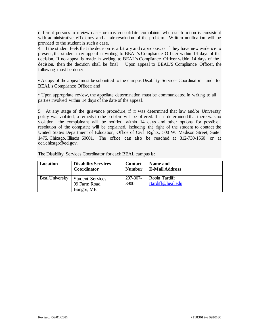different persons to review cases or may consolidate complaints when such action is consistent with administrative efficiency and a fair resolution of the problem. Written notification will be provided to the student in such a case.

4. If the student feels that the decision is arbitrary and capricious, or if they have new evidence to present, the student may appeal in writing to BEAL's Compliance Officer within 14 days of the decision. If no appeal is made in writing to BEAL's Compliance Officer within 14 days of the decision, then the decision shall be final. Upon appeal to BEAL'S Compliance Officer, the following must be done:

• A copy of the appeal must be submitted to the campus Disability Services Coordinator and to BEAL's Compliance Officer; and

• Upon appropriate review, the appellate determination must be communicated in writing to all parties involved within 14 days of the date of the appeal.

5. At any stage of the grievance procedure, if it was determined that law and/or University policy was violated, a remedy to the problem will be offered. If it is determined that there was no violation, the complainant will be notified within 14 days and other options for possible resolution of the complaint will be explained, including the right of the student to contact the United States Department of Education, Office of Civil Rights, 500 W. Madison Street, Suite 1475, Chicago, Illinois 60601. The office can also be reached at 312-730-1560 or [at](mailto:ocr.chicago@ed.gov) [ocr.chicago@ed.gov.](mailto:ocr.chicago@ed.gov)

| Location               | <b>Disability Services</b>                            | <b>Contact</b>        | Name and                           |
|------------------------|-------------------------------------------------------|-----------------------|------------------------------------|
|                        | Coordinator                                           | <b>Number</b>         | <b>E-Mail Address</b>              |
| <b>Beal University</b> | <b>Student Services</b><br>99 Farm Road<br>Bangor, ME | $207 - 307 -$<br>3900 | Robin Tardiff<br>rtardiff@beal.edu |

The Disability Services Coordinator for each BEAL campus is: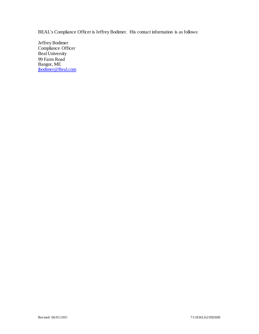BEAL's Compliance Officer is Jeffrey Bodimer. His contact information is as follows:

Jeffrey Bodimer Compliance Officer Beal University 99 Farm Road Bangor, ME [jbodimer@Beal.com](mailto:jbodimer@Beal.com)